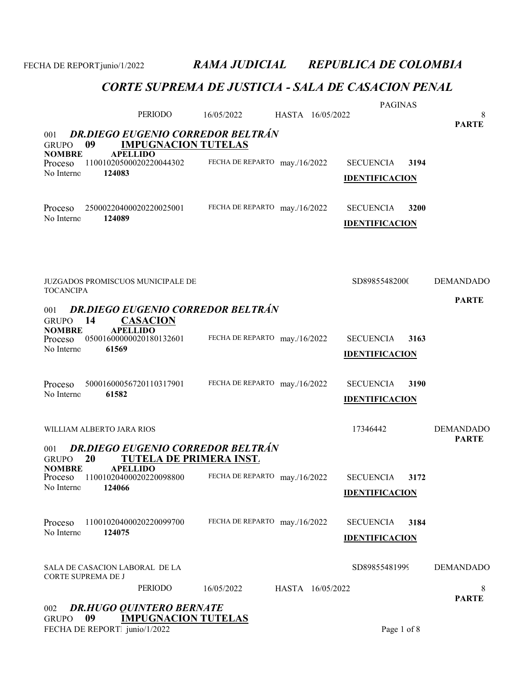# CORTE SUPREMA DE JUSTICIA - SALA DE CASACION PENAL

|                                                              | PERIODO                                                                    | 16/05/2022                    | HASTA 16/05/2022 | <b>PAGINAS</b>                            |      | 8                                |
|--------------------------------------------------------------|----------------------------------------------------------------------------|-------------------------------|------------------|-------------------------------------------|------|----------------------------------|
| 001<br>09<br><b>GRUPO</b>                                    | <b>DR.DIEGO EUGENIO CORREDOR BELTRÁN</b><br><b>IMPUGNACION TUTELAS</b>     |                               |                  |                                           |      | <b>PARTE</b>                     |
| <b>NOMBRE</b><br>Proceso<br>No Interno                       | <b>APELLIDO</b><br>11001020500020220044302<br>124083                       | FECHA DE REPARTO may./16/2022 |                  | <b>SECUENCIA</b><br><b>IDENTIFICACION</b> | 3194 |                                  |
| Proceso<br>No Interno                                        | 25000220400020220025001<br>124089                                          | FECHA DE REPARTO may./16/2022 |                  | <b>SECUENCIA</b><br><b>IDENTIFICACION</b> | 3200 |                                  |
| <b>TOCANCIPA</b>                                             | <b>JUZGADOS PROMISCUOS MUNICIPALE DE</b>                                   |                               |                  | SD89855482000                             |      | <b>DEMANDADO</b>                 |
| 001                                                          | <b>DR.DIEGO EUGENIO CORREDOR BELTRÁN</b>                                   |                               |                  |                                           |      | <b>PARTE</b>                     |
| <b>GRUPO</b><br>14<br><b>NOMBRE</b><br>Proceso<br>No Interno | <b>CASACION</b><br><b>APELLIDO</b><br>05001600000020180132601<br>61569     | FECHA DE REPARTO may./16/2022 |                  | <b>SECUENCIA</b><br><b>IDENTIFICACION</b> | 3163 |                                  |
| Proceso<br>No Interno                                        | 50001600056720110317901<br>61582                                           | FECHA DE REPARTO may./16/2022 |                  | <b>SECUENCIA</b><br><b>IDENTIFICACION</b> | 3190 |                                  |
|                                                              | WILLIAM ALBERTO JARA RIOS                                                  |                               |                  | 17346442                                  |      | <b>DEMANDADO</b><br><b>PARTE</b> |
| 001<br>20<br><b>GRUPO</b>                                    | <b>DR.DIEGO EUGENIO CORREDOR BELTRÁN</b><br><b>TUTELA DE PRIMERA INST.</b> |                               |                  |                                           |      |                                  |
| NOMBRE<br>Proceso<br>No Interno                              | <b>APELLIDO</b><br>11001020400020220098800<br>124066                       | FECHA DE REPARTO may./16/2022 |                  | <b>SECUENCIA</b><br><b>IDENTIFICACION</b> | 3172 |                                  |
| Proceso<br>No Interno                                        | 11001020400020220099700<br>124075                                          | FECHA DE REPARTO may./16/2022 |                  | <b>SECUENCIA</b><br><b>IDENTIFICACION</b> | 3184 |                                  |
|                                                              | SALA DE CASACION LABORAL DE LA                                             |                               |                  | SD89855481999                             |      | <b>DEMANDADO</b>                 |
| CORTE SUPREMA DE J                                           | <b>PERIODO</b>                                                             | 16/05/2022                    | HASTA 16/05/2022 |                                           |      | 8<br><b>PARTE</b>                |
| 002<br>09<br><b>GRUPO</b>                                    | <b>DR.HUGO QUINTERO BERNATE</b><br><b>IMPUGNACION TUTELAS</b>              |                               |                  |                                           |      |                                  |

FECHA DE REPORTE junio/1/2022 Page 1 of 8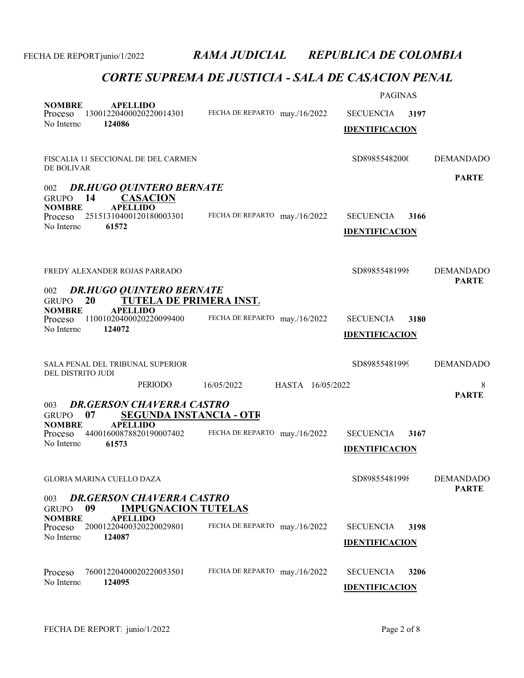| <b>NOMBRE</b><br><b>APELLIDO</b><br>13001220400020220014301<br>Proceso<br>No Interno<br>124086                                                                                                   | FECHA DE REPARTO may./16/2022    | <b>PAGINAS</b><br><b>SECUENCIA</b><br>3197<br><b>IDENTIFICACION</b> |                                  |
|--------------------------------------------------------------------------------------------------------------------------------------------------------------------------------------------------|----------------------------------|---------------------------------------------------------------------|----------------------------------|
| FISCALIA 11 SECCIONAL DE DEL CARMEN<br>DE BOLIVAR                                                                                                                                                |                                  | SD89855482000                                                       | <b>DEMANDADO</b>                 |
| <b>DR.HUGO QUINTERO BERNATE</b><br>002<br>- 14<br><b>CASACION</b><br><b>GRUPO</b><br><b>NOMBRE</b><br><b>APELLIDO</b><br>25151310400120180003301<br>Proceso<br>No Interno<br>61572               | FECHA DE REPARTO may./16/2022    | <b>SECUENCIA</b><br>3166<br><b>IDENTIFICACION</b>                   | <b>PARTE</b>                     |
| FREDY ALEXANDER ROJAS PARRADO                                                                                                                                                                    |                                  | SD89855481998                                                       | <b>DEMANDADO</b><br><b>PARTE</b> |
| <b>DR.HUGO QUINTERO BERNATE</b><br>002<br>TUTELA DE PRIMERA INST.<br>20<br><b>GRUPO</b><br><b>NOMBRE</b><br><b>APELLIDO</b><br>11001020400020220099400<br>Proceso<br>No Interno<br>124072        | FECHA DE REPARTO may./16/2022    | <b>SECUENCIA</b><br>3180<br><b>IDENTIFICACION</b>                   |                                  |
| SALA PENAL DEL TRIBUNAL SUPERIOR                                                                                                                                                                 |                                  | SD89855481999                                                       | <b>DEMANDADO</b>                 |
| DEL DISTRITO JUDI<br>PERIODO                                                                                                                                                                     | 16/05/2022<br>HASTA 16/05/2022   |                                                                     | 8                                |
| <b>DR.GERSON CHAVERRA CASTRO</b><br>003<br>07<br><b>SEGUNDA INSTANCIA - OTR</b><br><b>GRUPO</b><br><b>APELLIDO</b><br><b>NOMBRE</b><br>44001600878820190007402<br>Proceso<br>No Interno<br>61573 | FECHA DE REPARTO may./16/2022    | <b>SECUENCIA</b><br>3167<br><b>IDENTIFICACION</b>                   | <b>PARTE</b>                     |
| GLORIA MARINA CUELLO DAZA                                                                                                                                                                        |                                  | SD89855481998                                                       | <b>DEMANDADO</b><br><b>PARTE</b> |
| <b>DR.GERSON CHAVERRA CASTRO</b><br>003<br>09<br><b>IMPUGNACION TUTELAS</b><br><b>GRUPO</b>                                                                                                      |                                  |                                                                     |                                  |
| <b>NOMBRE</b><br><b>APELLIDO</b><br>20001220400320220029801<br>Proceso<br>No Interno<br>124087                                                                                                   | FECHA DE REPARTO<br>may./16/2022 | <b>SECUENCIA</b><br>3198<br><b>IDENTIFICACION</b>                   |                                  |
| 76001220400020220053501<br>Proceso<br>No Interno<br>124095                                                                                                                                       | FECHA DE REPARTO may./16/2022    | <b>SECUENCIA</b><br>3206<br><b>IDENTIFICACION</b>                   |                                  |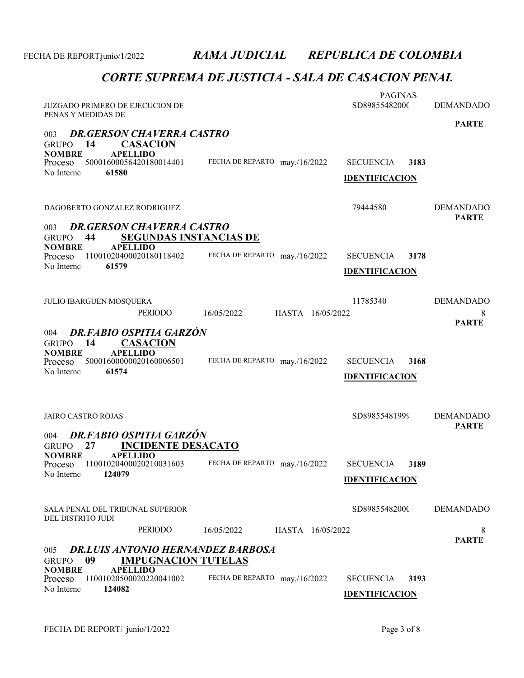| JUZGADO PRIMERO DE EJECUCION DE<br>PENAS Y MEDIDAS DE                                                                                                                                      |                                | <b>PAGINAS</b><br>SD89855482000                   | <b>DEMANDADO</b><br><b>PARTE</b>      |
|--------------------------------------------------------------------------------------------------------------------------------------------------------------------------------------------|--------------------------------|---------------------------------------------------|---------------------------------------|
| <b>DR.GERSON CHAVERRA CASTRO</b><br>003<br><b>CASACION</b><br>14<br><b>GRUPO</b><br><b>APELLIDO</b><br><b>NOMBRE</b>                                                                       |                                |                                                   |                                       |
| 50001600056420180014401<br>Proceso<br>61580<br>No Interno                                                                                                                                  | FECHA DE REPARTO may./16/2022  | <b>SECUENCIA</b><br>3183<br><b>IDENTIFICACION</b> |                                       |
| DAGOBERTO GONZALEZ RODRIGUEZ                                                                                                                                                               |                                | 79444580                                          | <b>DEMANDADO</b>                      |
| <b>DR.GERSON CHAVERRA CASTRO</b><br>003<br>44<br><b>SEGUNDAS INSTANCIAS DE</b><br><b>GRUPO</b>                                                                                             |                                |                                                   | <b>PARTE</b>                          |
| <b>NOMBRE</b><br><b>APELLIDO</b><br>11001020400020180118402<br>Proceso<br>No Interno<br>61579                                                                                              | FECHA DE REPARTO may./16/2022  | <b>SECUENCIA</b><br>3178<br><b>IDENTIFICACION</b> |                                       |
| <b>JULIO IBARGUEN MOSQUERA</b><br><b>PERIODO</b>                                                                                                                                           | 16/05/2022<br>HASTA 16/05/2022 | 11785340                                          | <b>DEMANDADO</b><br>8<br><b>PARTE</b> |
| <b>DR.FABIO OSPITIA GARZÓN</b><br>004<br>14<br><b>CASACION</b><br><b>GRUPO</b><br><b>NOMBRE</b><br><b>APELLIDO</b><br>50001600000020160006501<br>Proceso<br>No Interno<br>61574            | FECHA DE REPARTO may./16/2022  | <b>SECUENCIA</b><br>3168<br><b>IDENTIFICACION</b> |                                       |
| <b>JAIRO CASTRO ROJAS</b>                                                                                                                                                                  |                                | SD89855481999                                     | <b>DEMANDADO</b><br><b>PARTE</b>      |
| <b>DR.FABIO OSPITIA GARZÓN</b><br>004<br><b>INCIDENTE DESACATO</b><br>27<br><b>GRUPO</b><br><b>NOMBRE</b><br><b>APELLIDO</b><br>11001020400020210031603<br>Proceso<br>124079<br>No Interno | FECHA DE REPARTO may./16/2022  | <b>SECUENCIA</b><br>3189<br><b>IDENTIFICACION</b> |                                       |
| SALA PENAL DEL TRIBUNAL SUPERIOR<br>DEL DISTRITO JUDI                                                                                                                                      |                                | SD89855482000                                     | <b>DEMANDADO</b>                      |
| PERIODO                                                                                                                                                                                    | 16/05/2022<br>HASTA 16/05/2022 |                                                   | 8<br><b>PARTE</b>                     |
| <b>DR.LUIS ANTONIO HERNANDEZ BARBOSA</b><br>005<br>09<br><b>IMPUGNACION TUTELAS</b><br><b>GRUPO</b>                                                                                        |                                |                                                   |                                       |
| <b>APELLIDO</b><br><b>NOMBRE</b><br>11001020500020220041002<br>Proceso<br>No Interno<br>124082                                                                                             | FECHA DE REPARTO may./16/2022  | <b>SECUENCIA</b><br>3193<br><b>IDENTIFICACION</b> |                                       |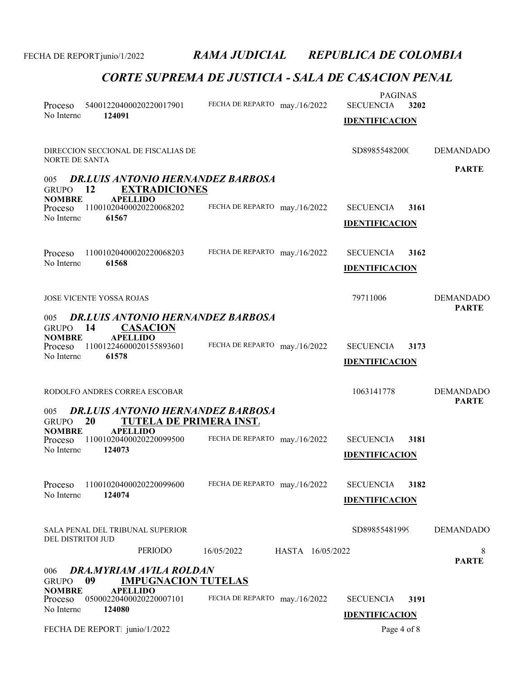| Proceso<br>No Interno                                         | 54001220400020220017901<br>124091                                                                                        | FECHA DE REPARTO may./16/2022 |                  | <b>PAGINAS</b><br><b>SECUENCIA</b><br><b>IDENTIFICACION</b> | 3202 |                                  |
|---------------------------------------------------------------|--------------------------------------------------------------------------------------------------------------------------|-------------------------------|------------------|-------------------------------------------------------------|------|----------------------------------|
| <b>NORTE DE SANTA</b>                                         | DIRECCION SECCIONAL DE FISCALIAS DE                                                                                      |                               |                  | SD89855482000                                               |      | <b>DEMANDADO</b>                 |
| 005<br><b>GRUPO</b>                                           | <b>DR.LUIS ANTONIO HERNANDEZ BARBOSA</b><br><b>EXTRADICIONES</b><br>12                                                   |                               |                  |                                                             |      | <b>PARTE</b>                     |
| <b>NOMBRE</b><br>Proceso<br>No Interno                        | <b>APELLIDO</b><br>11001020400020220068202<br>61567                                                                      | FECHA DE REPARTO may./16/2022 |                  | <b>SECUENCIA</b><br><b>IDENTIFICACION</b>                   | 3161 |                                  |
| Proceso<br>No Interno                                         | 11001020400020220068203<br>61568                                                                                         | FECHA DE REPARTO may./16/2022 |                  | <b>SECUENCIA</b><br><b>IDENTIFICACION</b>                   | 3162 |                                  |
|                                                               | <b>JOSE VICENTE YOSSA ROJAS</b>                                                                                          |                               |                  | 79711006                                                    |      | <b>DEMANDADO</b><br><b>PARTE</b> |
| 005<br><b>GRUPO</b><br><b>NOMBRE</b><br>Proceso<br>No Interno | <b>DR.LUIS ANTONIO HERNANDEZ BARBOSA</b><br>14<br><b>CASACION</b><br><b>APELLIDO</b><br>11001224600020155893601<br>61578 | FECHA DE REPARTO may./16/2022 |                  | <b>SECUENCIA</b><br><b>IDENTIFICACION</b>                   | 3173 |                                  |
| 005                                                           | RODOLFO ANDRES CORREA ESCOBAR<br><b>DR.LUIS ANTONIO HERNANDEZ BARBOSA</b>                                                |                               |                  | 1063141778                                                  |      | <b>DEMANDADO</b><br><b>PARTE</b> |
| <b>GRUPO</b><br><b>NOMBRE</b><br>Proceso<br>No Interno        | 20<br>TUTELA DE PRIMERA INST.<br><b>APELLIDO</b><br>11001020400020220099500<br>124073                                    | FECHA DE REPARTO may./16/2022 |                  | <b>SECUENCIA</b><br><b>IDENTIFICACION</b>                   | 3181 |                                  |
| Proceso<br>No Interno                                         | 11001020400020220099600<br>124074                                                                                        | FECHA DE REPARTO may./16/2022 |                  | <b>SECUENCIA</b><br><b>IDENTIFICACION</b>                   | 3182 |                                  |
| DEL DISTRITOI JUD                                             | SALA PENAL DEL TRIBUNAL SUPERIOR                                                                                         |                               |                  | SD89855481999                                               |      | <b>DEMANDADO</b>                 |
| 006                                                           | PERIODO<br><b>DRA.MYRIAM AVILA ROLDAN</b>                                                                                | 16/05/2022                    | HASTA 16/05/2022 |                                                             |      | 8<br><b>PARTE</b>                |
| <b>GRUPO</b><br><b>NOMBRE</b><br>Proceso<br>No Interno        | 09<br><b>IMPUGNACION TUTELAS</b><br><b>APELLIDO</b><br>05000220400020220007101<br>124080                                 | FECHA DE REPARTO may./16/2022 |                  | <b>SECUENCIA</b><br><b>IDENTIFICACION</b>                   | 3191 |                                  |
|                                                               | FECHA DE REPORT junio/1/2022                                                                                             |                               |                  | Page 4 of 8                                                 |      |                                  |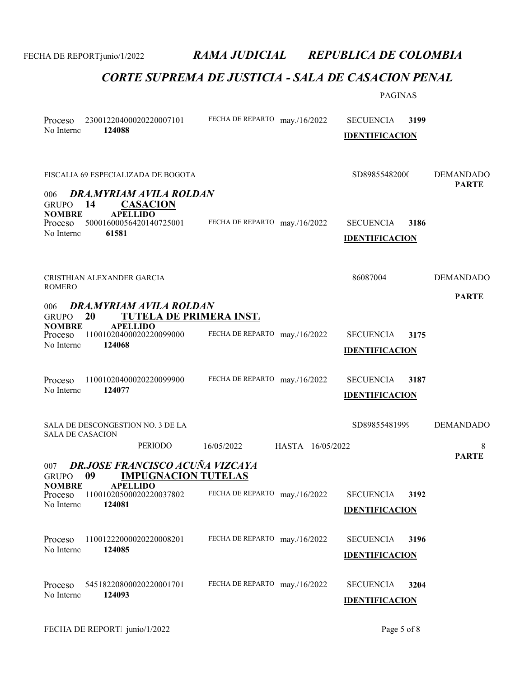|                                                        |                                                                                              |                               |                  | <b>PAGINAS</b>                            |      |                                  |
|--------------------------------------------------------|----------------------------------------------------------------------------------------------|-------------------------------|------------------|-------------------------------------------|------|----------------------------------|
| Proceso<br>No Interno                                  | 23001220400020220007101<br>124088                                                            | FECHA DE REPARTO may./16/2022 |                  | <b>SECUENCIA</b><br><b>IDENTIFICACION</b> | 3199 |                                  |
| 006<br><b>GRUPO</b>                                    | FISCALIA 69 ESPECIALIZADA DE BOGOTA<br>DRA.MYRIAM AVILA ROLDAN<br>14<br><b>CASACION</b>      |                               |                  | SD89855482000                             |      | <b>DEMANDADO</b><br><b>PARTE</b> |
| <b>NOMBRE</b><br>Proceso<br>No Interno                 | <b>APELLIDO</b><br>50001600056420140725001<br>61581                                          | FECHA DE REPARTO may./16/2022 |                  | <b>SECUENCIA</b><br><b>IDENTIFICACION</b> | 3186 |                                  |
| ROMERO                                                 | CRISTHIAN ALEXANDER GARCIA                                                                   |                               |                  | 86087004                                  |      | <b>DEMANDADO</b><br><b>PARTE</b> |
| 006                                                    | DRA.MYRIAM AVILA ROLDAN                                                                      |                               |                  |                                           |      |                                  |
| <b>GRUPO</b><br><b>NOMBRE</b><br>Proceso<br>No Interno | TUTELA DE PRIMERA INST.<br><b>20</b><br><b>APELLIDO</b><br>11001020400020220099000<br>124068 | FECHA DE REPARTO may./16/2022 |                  | <b>SECUENCIA</b><br><b>IDENTIFICACION</b> | 3175 |                                  |
| Proceso<br>No Interno                                  | 11001020400020220099900<br>124077                                                            | FECHA DE REPARTO may./16/2022 |                  | <b>SECUENCIA</b><br><b>IDENTIFICACION</b> | 3187 |                                  |
| <b>SALA DE CASACION</b>                                | SALA DE DESCONGESTION NO. 3 DE LA                                                            |                               |                  | SD89855481999                             |      | <b>DEMANDADO</b>                 |
|                                                        | PERIODO                                                                                      | 16/05/2022                    | HASTA 16/05/2022 |                                           |      | 8<br><b>PARTE</b>                |
| 007<br>GRUPO 09                                        | <b>DR.JOSE FRANCISCO ACUÑA VIZCAYA</b><br><b>IMPUGNACION TUTELAS</b>                         |                               |                  |                                           |      |                                  |
| <b>NOMBRE</b><br>Proceso<br>No Interno                 | <b>APELLIDO</b><br>11001020500020220037802<br>124081                                         | FECHA DE REPARTO may./16/2022 |                  | <b>SECUENCIA</b><br><b>IDENTIFICACION</b> | 3192 |                                  |
| Proceso<br>No Interno                                  | 11001222000020220008201<br>124085                                                            | FECHA DE REPARTO may./16/2022 |                  | <b>SECUENCIA</b><br><b>IDENTIFICACION</b> | 3196 |                                  |
| Proceso<br>No Interno                                  | 54518220800020220001701<br>124093                                                            | FECHA DE REPARTO may./16/2022 |                  | <b>SECUENCIA</b><br><b>IDENTIFICACION</b> | 3204 |                                  |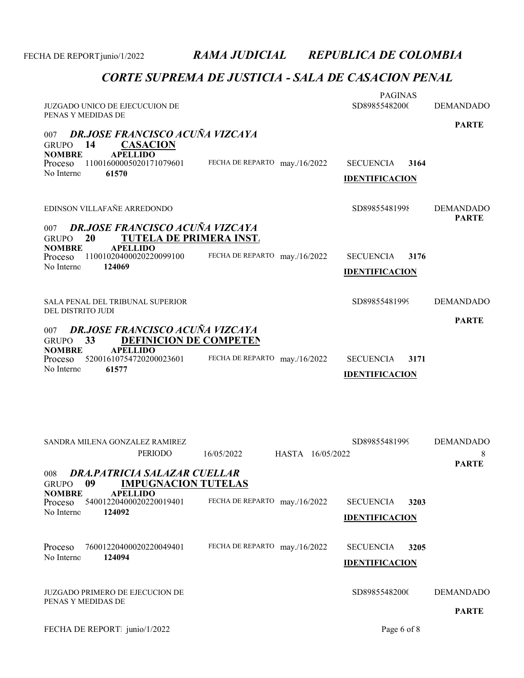| JUZGADO UNICO DE EJECUCUION DE                                                                                                                                                                        |                                | <b>PAGINAS</b><br>SD89855482000                   | <b>DEMANDADO</b>                 |
|-------------------------------------------------------------------------------------------------------------------------------------------------------------------------------------------------------|--------------------------------|---------------------------------------------------|----------------------------------|
| PENAS Y MEDIDAS DE                                                                                                                                                                                    |                                |                                                   | <b>PARTE</b>                     |
| <b>DR.JOSE FRANCISCO ACUÑA VIZCAYA</b><br>007<br>14<br><b>CASACION</b><br><b>GRUPO</b><br><b>NOMBRE</b><br><b>APELLIDO</b><br>11001600005020171079601<br>Proceso<br>No Interno<br>61570               | FECHA DE REPARTO may./16/2022  | <b>SECUENCIA</b><br>3164<br><b>IDENTIFICACION</b> |                                  |
| EDINSON VILLAFAÑE ARREDONDO<br><b>DR.JOSE FRANCISCO ACUÑA VIZCAYA</b><br>007                                                                                                                          |                                | SD89855481998                                     | <b>DEMANDADO</b><br><b>PARTE</b> |
| <b>TUTELA DE PRIMERA INST.</b><br>20<br><b>GRUPO</b><br><b>NOMBRE</b><br><b>APELLIDO</b><br>11001020400020220099100<br>Proceso<br>No Interno<br>124069                                                | FECHA DE REPARTO may./16/2022  | 3176<br><b>SECUENCIA</b><br><b>IDENTIFICACION</b> |                                  |
| SALA PENAL DEL TRIBUNAL SUPERIOR<br>DEL DISTRITO JUDI                                                                                                                                                 |                                | SD89855481999                                     | <b>DEMANDADO</b>                 |
| <b>DR.JOSE FRANCISCO ACUÑA VIZCAYA</b><br>007<br><b>DEFINICION DE COMPETEN</b><br>33<br><b>GRUPO</b><br><b>APELLIDO</b><br><b>NOMBRE</b><br>52001610754720200023601<br>Proceso<br>No Interno<br>61577 | FECHA DE REPARTO may./16/2022  | <b>SECUENCIA</b><br>3171<br><b>IDENTIFICACION</b> | <b>PARTE</b>                     |
| SANDRA MILENA GONZALEZ RAMIREZ<br>PERIODO                                                                                                                                                             | 16/05/2022<br>HASTA 16/05/2022 | SD89855481999                                     | <b>DEMANDADO</b><br>8            |
| DRA.PATRICIA SALAZAR CUELLAR<br>008<br>09<br><b>IMPUGNACION TUTELAS</b><br><b>GRUPO</b>                                                                                                               |                                |                                                   | <b>PARTE</b>                     |
| <b>NOMBRE</b><br><b>APELLIDO</b><br>54001220400020220019401<br>Proceso<br>No Interno<br>124092                                                                                                        | FECHA DE REPARTO may./16/2022  | <b>SECUENCIA</b><br>3203<br><b>IDENTIFICACION</b> |                                  |
| 76001220400020220049401<br>Proceso<br>No Interno<br>124094                                                                                                                                            | FECHA DE REPARTO may./16/2022  | <b>SECUENCIA</b><br>3205<br><b>IDENTIFICACION</b> |                                  |
| JUZGADO PRIMERO DE EJECUCION DE<br>PENAS Y MEDIDAS DE                                                                                                                                                 |                                | SD89855482000                                     | <b>DEMANDADO</b><br><b>PARTE</b> |
| FECHA DE REPORT junio/1/2022                                                                                                                                                                          |                                | Page 6 of 8                                       |                                  |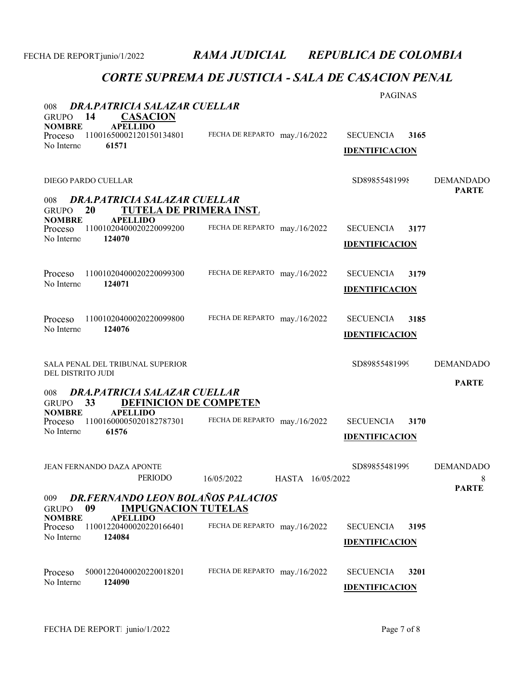| DRA, PATRICIA SALAZAR CUELLAR<br>008                                                                                                                 |                                | <b>PAGINAS</b>                                    |                                       |
|------------------------------------------------------------------------------------------------------------------------------------------------------|--------------------------------|---------------------------------------------------|---------------------------------------|
| 14<br><b>CASACION</b><br><b>GRUPO</b><br><b>NOMBRE</b><br><b>APELLIDO</b><br>11001650002120150134801<br>Proceso<br>61571<br>No Interno               | FECHA DE REPARTO may./16/2022  | <b>SECUENCIA</b><br>3165<br><b>IDENTIFICACION</b> |                                       |
| DIEGO PARDO CUELLAR                                                                                                                                  |                                | SD89855481998                                     | <b>DEMANDADO</b><br><b>PARTE</b>      |
| DRA.PATRICIA SALAZAR CUELLAR<br>008<br>TUTELA DE PRIMERA INST.<br>20<br><b>GRUPO</b>                                                                 |                                |                                                   |                                       |
| <b>NOMBRE</b><br><b>APELLIDO</b><br>11001020400020220099200<br>Proceso<br>No Interno<br>124070                                                       | FECHA DE REPARTO may./16/2022  | <b>SECUENCIA</b><br>3177<br><b>IDENTIFICACION</b> |                                       |
| 11001020400020220099300<br>Proceso<br>No Interno<br>124071                                                                                           | FECHA DE REPARTO may./16/2022  | <b>SECUENCIA</b><br>3179<br><b>IDENTIFICACION</b> |                                       |
| 11001020400020220099800<br>Proceso<br>No Interno<br>124076                                                                                           | FECHA DE REPARTO may./16/2022  | <b>SECUENCIA</b><br>3185<br><b>IDENTIFICACION</b> |                                       |
| SALA PENAL DEL TRIBUNAL SUPERIOR                                                                                                                     |                                | SD89855481999                                     | <b>DEMANDADO</b>                      |
| DEL DISTRITO JUDI<br>DRA.PATRICIA SALAZAR CUELLAR<br>008                                                                                             |                                |                                                   | <b>PARTE</b>                          |
| 33<br><b>DEFINICION DE COMPETEN</b><br><b>GRUPO</b><br><b>NOMBRE</b><br><b>APELLIDO</b><br>11001600005020182787301<br>Proceso<br>No Interno<br>61576 | FECHA DE REPARTO may./16/2022  | <b>SECUENCIA</b><br>3170<br><b>IDENTIFICACION</b> |                                       |
| JEAN FERNANDO DAZA APONTE<br><b>PERIODO</b>                                                                                                          | 16/05/2022<br>HASTA 16/05/2022 | SD89855481999                                     | <b>DEMANDADO</b><br>8<br><b>PARTE</b> |
| <b>DR.FERNANDO LEON BOLAÑOS PALACIOS</b><br>009<br><b>IMPUGNACION TUTELAS</b><br>09<br><b>GRUPO</b>                                                  |                                |                                                   |                                       |
| <b>NOMBRE</b><br><b>APELLIDO</b><br>11001220400020220166401<br>Proceso<br>No Interno<br>124084                                                       | FECHA DE REPARTO may./16/2022  | <b>SECUENCIA</b><br>3195<br><b>IDENTIFICACION</b> |                                       |
| 50001220400020220018201<br>Proceso<br>124090<br>No Interno                                                                                           | FECHA DE REPARTO may./16/2022  | <b>SECUENCIA</b><br>3201<br><b>IDENTIFICACION</b> |                                       |